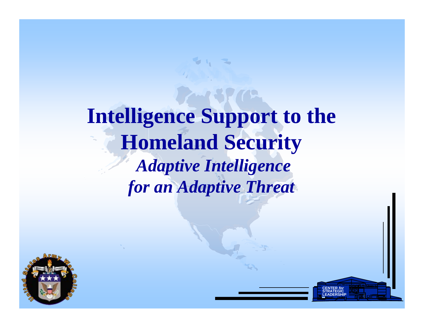# **Intelligence Support to the Homeland Security** *Adaptive Intelligence for an Adaptive Threat*

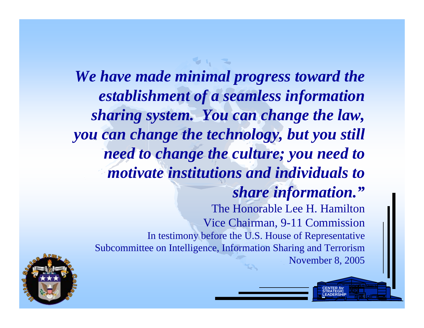*We have made minimal progress toward the establishment of a seamless information sharing system. You can change the law, you can change the technology, but you still need to change the culture; you need to motivate institutions and individuals to share information."* The Honorable Lee H. HamiltonVice Chairman, 9-11 Commission In tes timony before the U.S. House of R epresentative Subcommittee on Intelligence, Information Sharing and Terrorism November 8, 2005

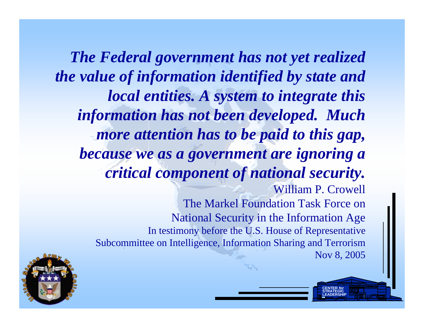*The Federal government has not yet realized the value of information identified by state and local entities. A system to integrate this information has not been developed. Much more attention has to be paid to this gap, because we as a government are ignoring a critical component of national security.* William P. Crowell The Markel Foundation Task Force on National Security in the Information Age In tes timony before the U.S. House of R epresentative Subcommittee on Intelligence, Information Sharing and Terrorism Nov 8, 2005

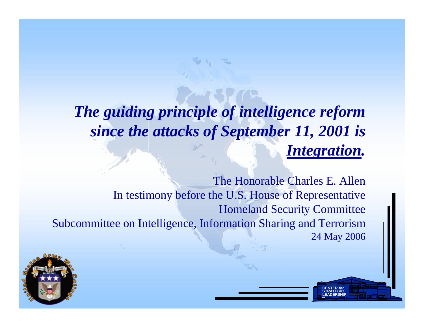### *The guiding principle of intelligence reform since the attacks of September 11, 2001 is Integration.*

The Honorable Charles E. AllenIn testimony before the U.S. House of Representative Homeland Security Committee Subcommittee on Intelligence, Information Sharing and Terrorism 24 May 2006

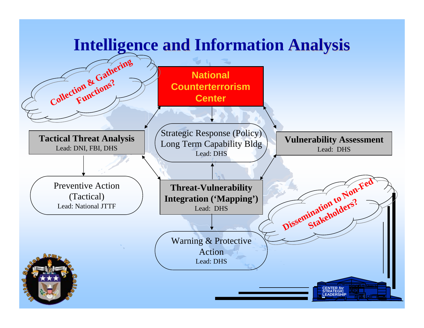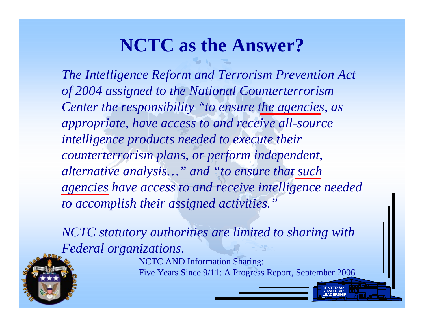# **NCTC as the Answer?**

*The Intelligence Reform and Terrorism Prevention Act of 2004 assigned to the National Counterterrorism Center the responsibility "to ensure the agencies, as appropriate, have access to and receive all-source intelligence products needed to execute their counterterrorism plans, or perform independent, alternative analysis…" and "to ensure that such agencies have access to and receive intelligence needed to accomplish their assigned activities."*

*NCTC statutory authorities are limited to sharing with Federal organizations.*

> NCTC AND Information Sharing: Five Y ears Since 9/11: A Progress Report, September 2006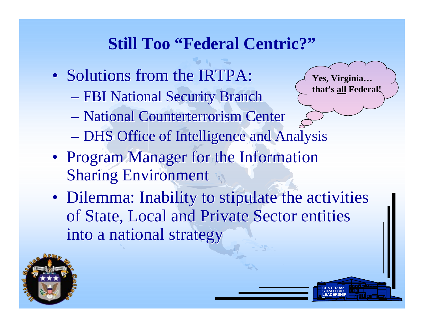## **Still Too "Federal Centric?"**

- Solutions from the IRTPA:
	- FBI National Security Branch – FBI National Security Branch
	- National Counterterrorism Center National Counterterrorism Center
	- DHS Office of Intelligence and Analysis  $\mathcal{L}_{\mathcal{A}}$ DHS Office of Intelligence and Analysis
- Program Manager for the Information Program Manager for the Information Sharing Environment Sharing Environment
- Dilemma: Inability to stipulate the activities Dilemma: Inability to stipulate the activities of State, Local and Private Sector entities of State, Local and Private Sector entities into a national strategy into a national strategy

**CENTER** *for* **STRATEGICLEADERSHIP**

**Yes, Virginia…** 

**that's all Federal!**

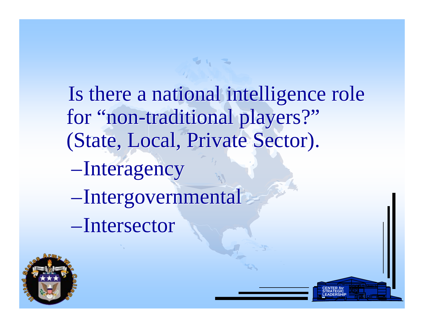Is there a national intelligence role Is there a national intelligence role for "non-traditional players?" for "non-traditional players?" (State, Local, Private Sector). (State, Local, Private Sector).

> **CENTER** *for* **STRATEGICLEADERSHIP**

––Interagency -Interagency

– Intergovernmental Intergovernmental

–Intersector Intersector